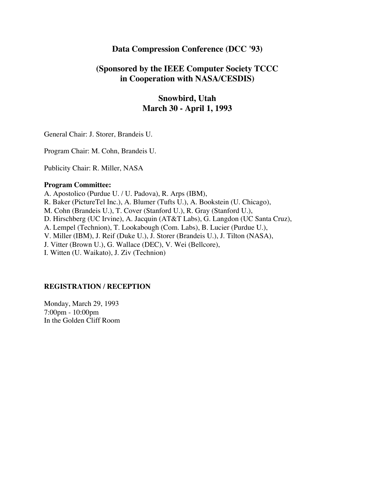# **Data Compression Conference (DCC '93)**

# **(Sponsored by the IEEE Computer Society TCCC in Cooperation with NASA/CESDIS)**

# **Snowbird, Utah March 30 - April 1, 1993**

General Chair: J. Storer, Brandeis U.

Program Chair: M. Cohn, Brandeis U.

Publicity Chair: R. Miller, NASA

#### **Program Committee:**

A. Apostolico (Purdue U. / U. Padova), R. Arps (IBM), R. Baker (PictureTel Inc.), A. Blumer (Tufts U.), A. Bookstein (U. Chicago), M. Cohn (Brandeis U.), T. Cover (Stanford U.), R. Gray (Stanford U.), D. Hirschberg (UC Irvine), A. Jacquin (AT&T Labs), G. Langdon (UC Santa Cruz), A. Lempel (Technion), T. Lookabough (Com. Labs), B. Lucier (Purdue U.), V. Miller (IBM), J. Reif (Duke U.), J. Storer (Brandeis U.), J. Tilton (NASA), J. Vitter (Brown U.), G. Wallace (DEC), V. Wei (Bellcore), I. Witten (U. Waikato), J. Ziv (Technion)

#### **REGISTRATION / RECEPTION**

Monday, March 29, 1993 7:00pm - 10:00pm In the Golden Cliff Room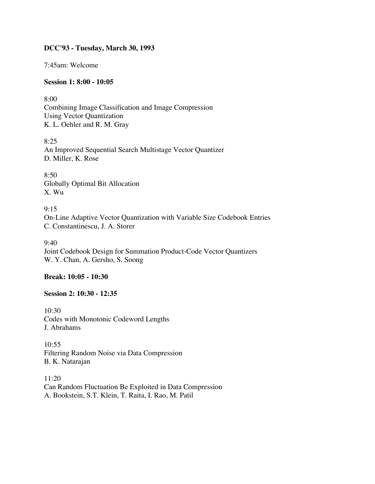## **DCC'93 - Tuesday, March 30, 1993**

7:45am: Welcome

### **Session 1: 8:00 - 10:05**

8:00 Combining Image Classification and Image Compression Using Vector Quantization K. L. Oehler and R. M. Gray

8:25 An Improved Sequential Search Multistage Vector Quantizer D. Miller, K. Rose

8:50 Globally Optimal Bit Allocation X. Wu

 $9:15$ On-Line Adaptive Vector Quantization with Variable Size Codebook Entries C. Constantinescu, J. A. Storer

9:40 Joint Codebook Design for Summation Product-Code Vector Quantizers W. Y. Chan, A. Gersho, S. Soong

## **Break: 10:05 - 10:30**

#### **Session 2: 10:30 - 12:35**

10:30 Codes with Monotonic Codeword Lengths J. Abrahams

10:55 Filtering Random Noise via Data Compression B. K. Natarajan

11:20 Can Random Fluctuation Be Exploited in Data Compression A. Bookstein, S.T. Klein, T. Raita, I. Rao, M. Patil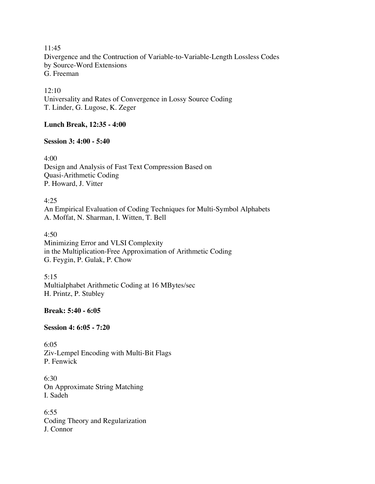11:45 Divergence and the Contruction of Variable-to-Variable-Length Lossless Codes by Source-Word Extensions G. Freeman

12:10 Universality and Rates of Convergence in Lossy Source Coding T. Linder, G. Lugose, K. Zeger

#### **Lunch Break, 12:35 - 4:00**

#### **Session 3: 4:00 - 5:40**

4:00 Design and Analysis of Fast Text Compression Based on Quasi-Arithmetic Coding P. Howard, J. Vitter

4:25 An Empirical Evaluation of Coding Techniques for Multi-Symbol Alphabets A. Moffat, N. Sharman, I. Witten, T. Bell

4:50 Minimizing Error and VLSI Complexity in the Multiplication-Free Approximation of Arithmetic Coding G. Feygin, P. Gulak, P. Chow

5:15 Multialphabet Arithmetic Coding at 16 MBytes/sec H. Printz, P. Stubley

### **Break: 5:40 - 6:05**

**Session 4: 6:05 - 7:20**

6:05 Ziv-Lempel Encoding with Multi-Bit Flags P. Fenwick

6:30 On Approximate String Matching I. Sadeh

6:55 Coding Theory and Regularization J. Connor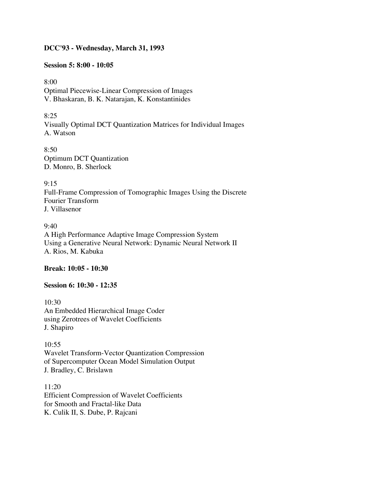#### **DCC'93 - Wednesday, March 31, 1993**

#### **Session 5: 8:00 - 10:05**

8:00 Optimal Piecewise-Linear Compression of Images V. Bhaskaran, B. K. Natarajan, K. Konstantinides

8:25 Visually Optimal DCT Quantization Matrices for Individual Images A. Watson

8:50 Optimum DCT Quantization D. Monro, B. Sherlock

9:15 Full-Frame Compression of Tomographic Images Using the Discrete Fourier Transform J. Villasenor

9:40 A High Performance Adaptive Image Compression System Using a Generative Neural Network: Dynamic Neural Network II A. Rios, M. Kabuka

**Break: 10:05 - 10:30**

#### **Session 6: 10:30 - 12:35**

10:30 An Embedded Hierarchical Image Coder using Zerotrees of Wavelet Coefficients J. Shapiro

10:55 Wavelet Transform-Vector Quantization Compression of Supercomputer Ocean Model Simulation Output J. Bradley, C. Brislawn

11:20 Efficient Compression of Wavelet Coefficients for Smooth and Fractal-like Data K. Culik II, S. Dube, P. Rajcani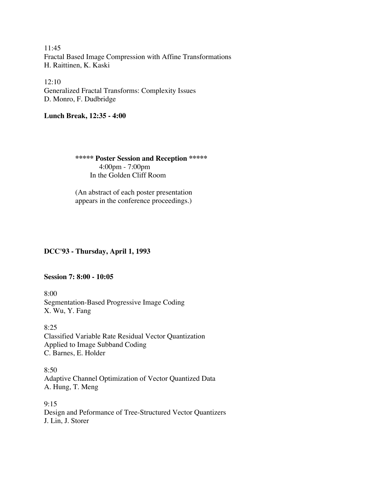11:45 Fractal Based Image Compression with Affine Transformations H. Raittinen, K. Kaski

 $12:10$ Generalized Fractal Transforms: Complexity Issues D. Monro, F. Dudbridge

## **Lunch Break, 12:35 - 4:00**

 **\*\*\*\*\* Poster Session and Reception \*\*\*\*\*** 4:00pm - 7:00pm In the Golden Cliff Room

 (An abstract of each poster presentation appears in the conference proceedings.)

## **DCC'93 - Thursday, April 1, 1993**

## **Session 7: 8:00 - 10:05**

8:00 Segmentation-Based Progressive Image Coding X. Wu, Y. Fang

8:25 Classified Variable Rate Residual Vector Quantization Applied to Image Subband Coding C. Barnes, E. Holder

8:50 Adaptive Channel Optimization of Vector Quantized Data A. Hung, T. Meng

 $9:15$ Design and Peformance of Tree-Structured Vector Quantizers J. Lin, J. Storer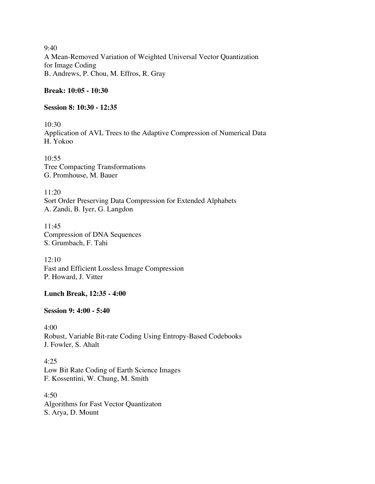9:40 A Mean-Removed Variation of Weighted Universal Vector Quantization for Image Coding B. Andrews, P. Chou, M. Effros, R. Gray

## **Break: 10:05 - 10:30**

#### **Session 8: 10:30 - 12:35**

10:30 Application of AVL Trees to the Adaptive Compression of Numerical Data H. Yokoo

10:55 Tree Compacting Transformations G. Promhouse, M. Bauer

11:20 Sort Order Preserving Data Compression for Extended Alphabets A. Zandi, B. Iyer, G. Langdon

11:45 Compression of DNA Sequences S. Grumbach, F. Tahi

12:10 Fast and Efficient Lossless Image Compression P. Howard, J. Vitter

## **Lunch Break, 12:35 - 4:00**

#### **Session 9: 4:00 - 5:40**

4:00 Robust, Variable Bit-rate Coding Using Entropy-Based Codebooks J. Fowler, S. Ahalt

4:25 Low Bit Rate Coding of Earth Science Images F. Kossentini, W. Chung, M. Smith

4:50 Algorithms for Fast Vector Quantizaton S. Arya, D. Mount